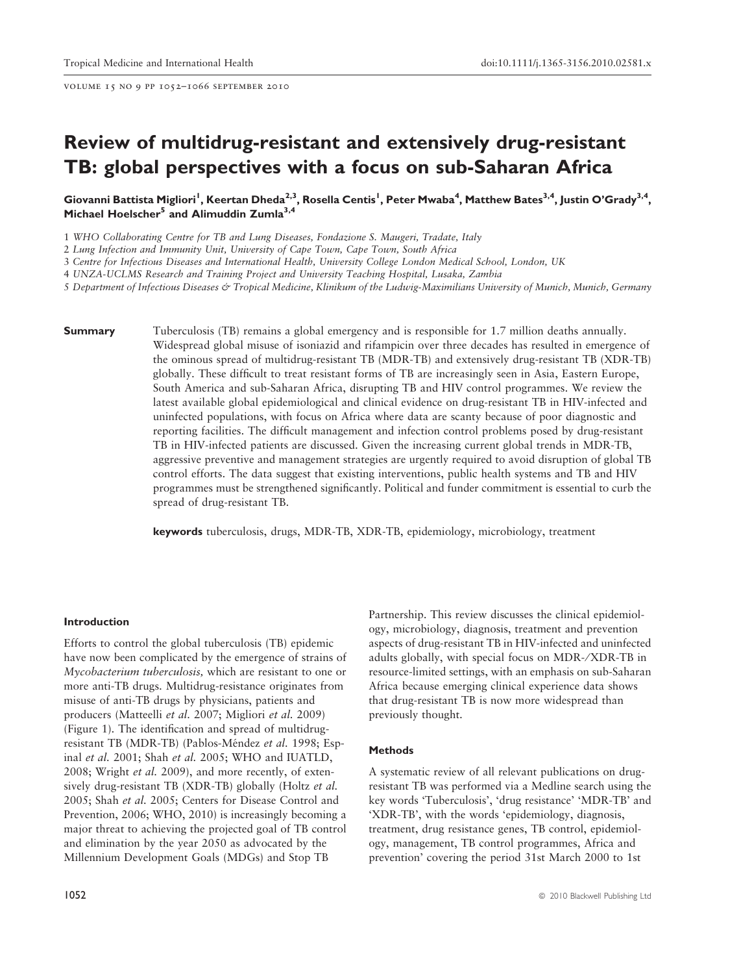volume 15 no 9 pp 1052–1066 september 2010

# Review of multidrug-resistant and extensively drug-resistant TB: global perspectives with a focus on sub-Saharan Africa

Giovanni Battista Migliori<sup>l</sup>, Keertan Dheda<sup>2,3</sup>, Rosella Centis<sup>I</sup>, Peter Mwaba<sup>4</sup>, Matthew Bates<sup>3,4</sup>, Justin O'Grady<sup>3,4</sup>, Michael Hoelscher<sup>5</sup> and Alimuddin Zumla<sup>3,4</sup>

1 WHO Collaborating Centre for TB and Lung Diseases, Fondazione S. Maugeri, Tradate, Italy

2 Lung Infection and Immunity Unit, University of Cape Town, Cape Town, South Africa

3 Centre for Infectious Diseases and International Health, University College London Medical School, London, UK

4 UNZA-UCLMS Research and Training Project and University Teaching Hospital, Lusaka, Zambia

5 Department of Infectious Diseases & Tropical Medicine, Klinikum of the Ludwig-Maximilians University of Munich, Munich, Germany

**Summary** Tuberculosis (TB) remains a global emergency and is responsible for 1.7 million deaths annually. Widespread global misuse of isoniazid and rifampicin over three decades has resulted in emergence of the ominous spread of multidrug-resistant TB (MDR-TB) and extensively drug-resistant TB (XDR-TB) globally. These difficult to treat resistant forms of TB are increasingly seen in Asia, Eastern Europe, South America and sub-Saharan Africa, disrupting TB and HIV control programmes. We review the latest available global epidemiological and clinical evidence on drug-resistant TB in HIV-infected and uninfected populations, with focus on Africa where data are scanty because of poor diagnostic and reporting facilities. The difficult management and infection control problems posed by drug-resistant TB in HIV-infected patients are discussed. Given the increasing current global trends in MDR-TB, aggressive preventive and management strategies are urgently required to avoid disruption of global TB control efforts. The data suggest that existing interventions, public health systems and TB and HIV programmes must be strengthened significantly. Political and funder commitment is essential to curb the spread of drug-resistant TB.

keywords tuberculosis, drugs, MDR-TB, XDR-TB, epidemiology, microbiology, treatment

#### Introduction

Efforts to control the global tuberculosis (TB) epidemic have now been complicated by the emergence of strains of Mycobacterium tuberculosis, which are resistant to one or more anti-TB drugs. Multidrug-resistance originates from misuse of anti-TB drugs by physicians, patients and producers (Matteelli et al. 2007; Migliori et al. 2009) (Figure 1). The identification and spread of multidrugresistant TB (MDR-TB) (Pablos-Méndez et al. 1998; Espinal et al. 2001; Shah et al. 2005; WHO and IUATLD, 2008; Wright et al. 2009), and more recently, of extensively drug-resistant TB (XDR-TB) globally (Holtz et al. 2005; Shah et al. 2005; Centers for Disease Control and Prevention, 2006; WHO, 2010) is increasingly becoming a major threat to achieving the projected goal of TB control and elimination by the year 2050 as advocated by the Millennium Development Goals (MDGs) and Stop TB

Partnership. This review discusses the clinical epidemiology, microbiology, diagnosis, treatment and prevention aspects of drug-resistant TB in HIV-infected and uninfected adults globally, with special focus on MDR-⁄ XDR-TB in resource-limited settings, with an emphasis on sub-Saharan Africa because emerging clinical experience data shows that drug-resistant TB is now more widespread than previously thought.

# Methods

A systematic review of all relevant publications on drugresistant TB was performed via a Medline search using the key words 'Tuberculosis', 'drug resistance' 'MDR-TB' and 'XDR-TB', with the words 'epidemiology, diagnosis, treatment, drug resistance genes, TB control, epidemiology, management, TB control programmes, Africa and prevention' covering the period 31st March 2000 to 1st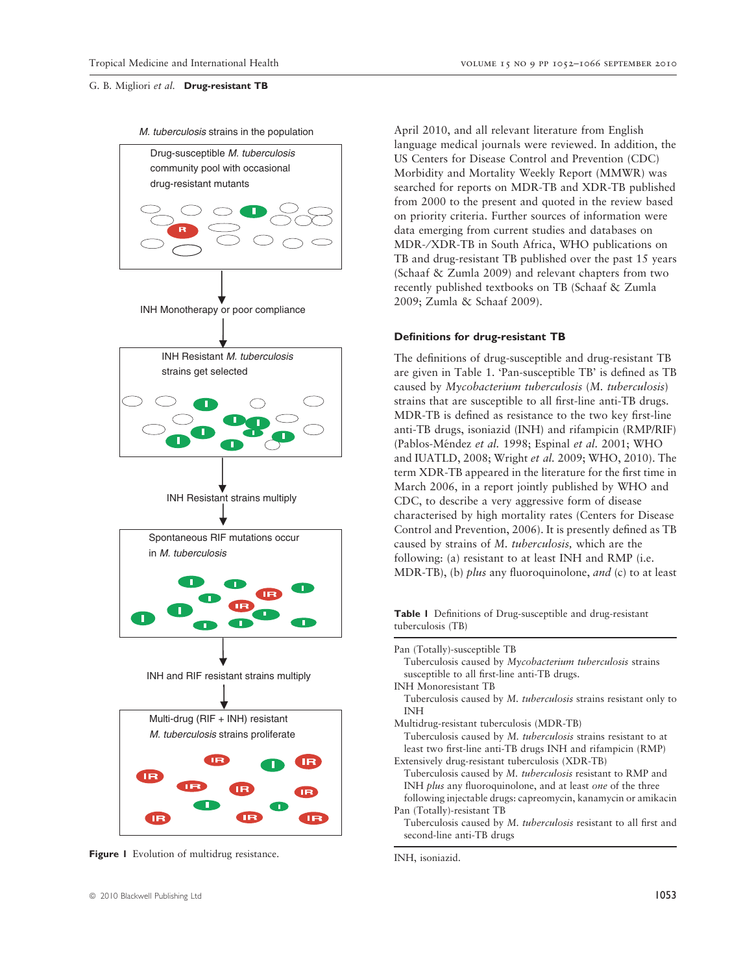



Figure 1 Evolution of multidrug resistance.

April 2010, and all relevant literature from English language medical journals were reviewed. In addition, the US Centers for Disease Control and Prevention (CDC) Morbidity and Mortality Weekly Report (MMWR) was searched for reports on MDR-TB and XDR-TB published from 2000 to the present and quoted in the review based on priority criteria. Further sources of information were data emerging from current studies and databases on MDR-⁄ XDR-TB in South Africa, WHO publications on TB and drug-resistant TB published over the past 15 years (Schaaf & Zumla 2009) and relevant chapters from two recently published textbooks on TB (Schaaf & Zumla 2009; Zumla & Schaaf 2009).

#### Definitions for drug-resistant TB

The definitions of drug-susceptible and drug-resistant TB are given in Table 1. 'Pan-susceptible TB' is defined as TB caused by Mycobacterium tuberculosis (M. tuberculosis) strains that are susceptible to all first-line anti-TB drugs. MDR-TB is defined as resistance to the two key first-line anti-TB drugs, isoniazid (INH) and rifampicin (RMP/RIF) (Pablos-Méndez et al. 1998; Espinal et al. 2001; WHO and IUATLD, 2008; Wright et al. 2009; WHO, 2010). The term XDR-TB appeared in the literature for the first time in March 2006, in a report jointly published by WHO and CDC, to describe a very aggressive form of disease characterised by high mortality rates (Centers for Disease Control and Prevention, 2006). It is presently defined as TB caused by strains of M. tuberculosis, which are the following: (a) resistant to at least INH and RMP (i.e. MDR-TB), (b) plus any fluoroquinolone, and (c) to at least

Table 1 Definitions of Drug-susceptible and drug-resistant tuberculosis (TB)

| Pan (Totally)-susceptible TB<br>Tuberculosis caused by Mycobacterium tuberculosis strains<br>susceptible to all first-line anti-TB drugs. |
|-------------------------------------------------------------------------------------------------------------------------------------------|
| <b>INH Monoresistant TB</b>                                                                                                               |
| Tuberculosis caused by M. tuberculosis strains resistant only to<br>INH                                                                   |
| Multidrug-resistant tuberculosis (MDR-TB)                                                                                                 |
| Tuberculosis caused by <i>M. tuberculosis</i> strains resistant to at<br>least two first-line anti-TB drugs INH and rifampicin (RMP)      |
| Extensively drug-resistant tuberculosis (XDR-TB)                                                                                          |
| Tuberculosis caused by <i>M. tuberculosis</i> resistant to RMP and                                                                        |
| INH <i>plus</i> any fluoroquinolone, and at least one of the three                                                                        |
| following injectable drugs: capreomycin, kanamycin or amikacin                                                                            |
| Pan (Totally)-resistant TB                                                                                                                |
| Tuberculosis caused by M. tuberculosis resistant to all first and<br>second-line anti-TB drugs                                            |

INH, isoniazid.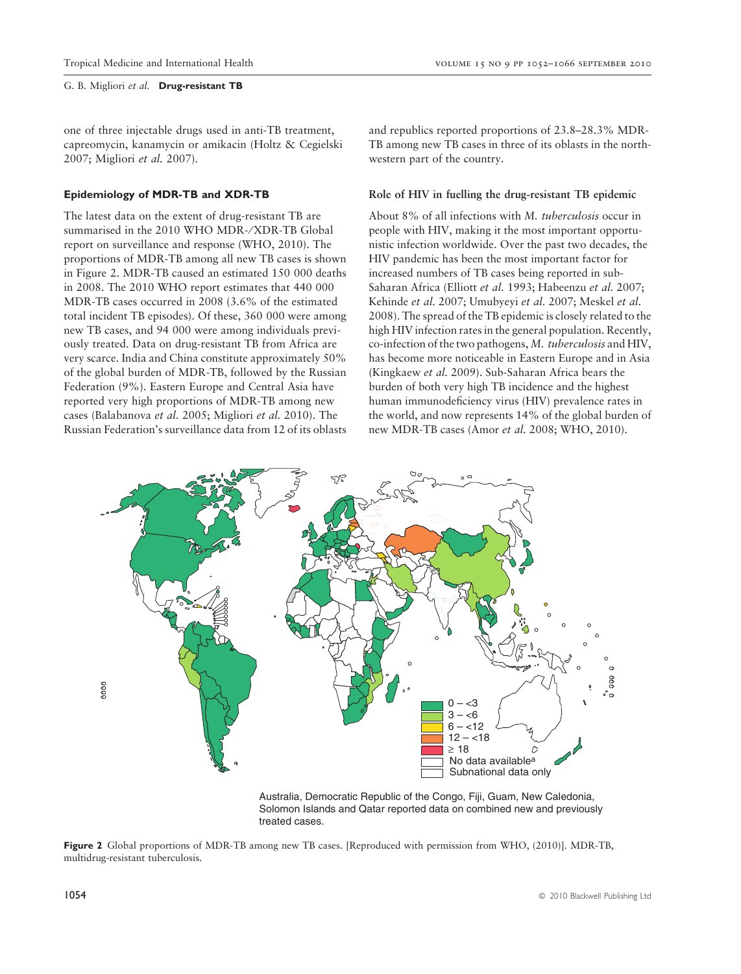one of three injectable drugs used in anti-TB treatment, capreomycin, kanamycin or amikacin (Holtz & Cegielski 2007; Migliori et al. 2007).

# Epidemiology of MDR-TB and XDR-TB

The latest data on the extent of drug-resistant TB are summarised in the 2010 WHO MDR-⁄ XDR-TB Global report on surveillance and response (WHO, 2010). The proportions of MDR-TB among all new TB cases is shown in Figure 2. MDR-TB caused an estimated 150 000 deaths in 2008. The 2010 WHO report estimates that 440 000 MDR-TB cases occurred in 2008 (3.6% of the estimated total incident TB episodes). Of these, 360 000 were among new TB cases, and 94 000 were among individuals previously treated. Data on drug-resistant TB from Africa are very scarce. India and China constitute approximately 50% of the global burden of MDR-TB, followed by the Russian Federation (9%). Eastern Europe and Central Asia have reported very high proportions of MDR-TB among new cases (Balabanova et al. 2005; Migliori et al. 2010). The Russian Federation's surveillance data from 12 of its oblasts and republics reported proportions of 23.8–28.3% MDR-TB among new TB cases in three of its oblasts in the northwestern part of the country.

## Role of HIV in fuelling the drug-resistant TB epidemic

About 8% of all infections with M. tuberculosis occur in people with HIV, making it the most important opportunistic infection worldwide. Over the past two decades, the HIV pandemic has been the most important factor for increased numbers of TB cases being reported in sub-Saharan Africa (Elliott et al. 1993; Habeenzu et al. 2007; Kehinde et al. 2007; Umubyeyi et al. 2007; Meskel et al. 2008). The spread of the TB epidemic is closely related to the high HIV infection rates in the general population. Recently, co-infection of the two pathogens, M. tuberculosis and HIV, has become more noticeable in Eastern Europe and in Asia (Kingkaew et al. 2009). Sub-Saharan Africa bears the burden of both very high TB incidence and the highest human immunodeficiency virus (HIV) prevalence rates in the world, and now represents 14% of the global burden of new MDR-TB cases (Amor et al. 2008; WHO, 2010).



Australia, Democratic Republic of the Congo, Fiji, Guam, New Caledonia, Solomon Islands and Qatar reported data on combined new and previously treated cases.

Figure 2 Global proportions of MDR-TB among new TB cases. [Reproduced with permission from WHO, (2010)]. MDR-TB, multidrug-resistant tuberculosis.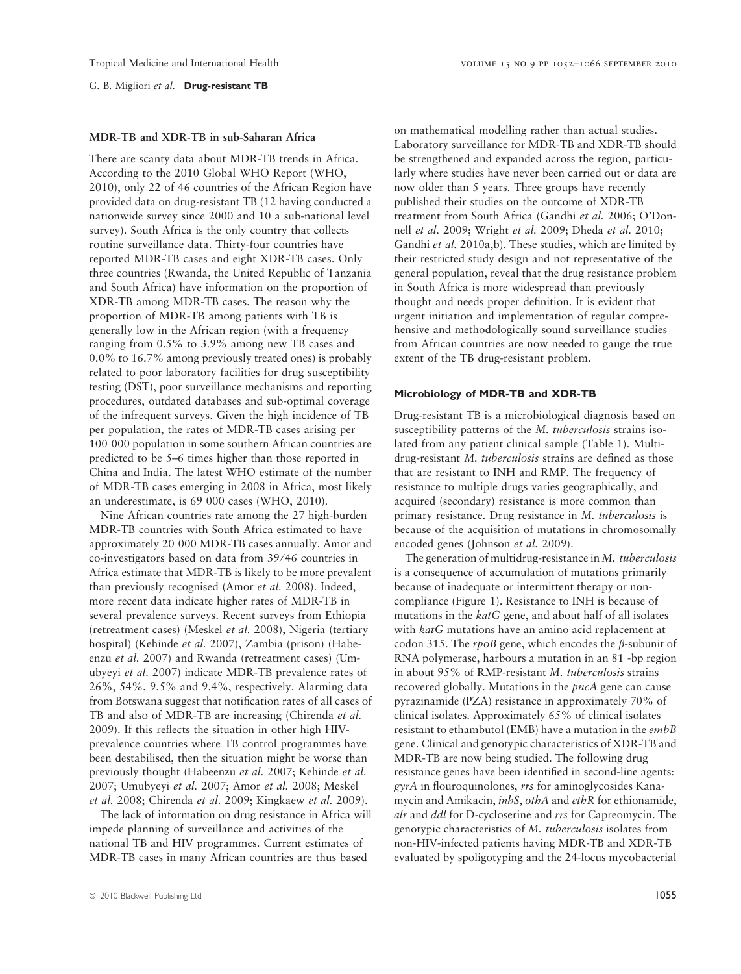## MDR-TB and XDR-TB in sub-Saharan Africa

There are scanty data about MDR-TB trends in Africa. According to the 2010 Global WHO Report (WHO, 2010), only 22 of 46 countries of the African Region have provided data on drug-resistant TB (12 having conducted a nationwide survey since 2000 and 10 a sub-national level survey). South Africa is the only country that collects routine surveillance data. Thirty-four countries have reported MDR-TB cases and eight XDR-TB cases. Only three countries (Rwanda, the United Republic of Tanzania and South Africa) have information on the proportion of XDR-TB among MDR-TB cases. The reason why the proportion of MDR-TB among patients with TB is generally low in the African region (with a frequency ranging from 0.5% to 3.9% among new TB cases and 0.0% to 16.7% among previously treated ones) is probably related to poor laboratory facilities for drug susceptibility testing (DST), poor surveillance mechanisms and reporting procedures, outdated databases and sub-optimal coverage of the infrequent surveys. Given the high incidence of TB per population, the rates of MDR-TB cases arising per 100 000 population in some southern African countries are predicted to be 5–6 times higher than those reported in China and India. The latest WHO estimate of the number of MDR-TB cases emerging in 2008 in Africa, most likely an underestimate, is 69 000 cases (WHO, 2010).

Nine African countries rate among the 27 high-burden MDR-TB countries with South Africa estimated to have approximately 20 000 MDR-TB cases annually. Amor and co-investigators based on data from 39 ⁄ 46 countries in Africa estimate that MDR-TB is likely to be more prevalent than previously recognised (Amor et al. 2008). Indeed, more recent data indicate higher rates of MDR-TB in several prevalence surveys. Recent surveys from Ethiopia (retreatment cases) (Meskel et al. 2008), Nigeria (tertiary hospital) (Kehinde et al. 2007), Zambia (prison) (Habeenzu et al. 2007) and Rwanda (retreatment cases) (Umubyeyi et al. 2007) indicate MDR-TB prevalence rates of 26%, 54%, 9.5% and 9.4%, respectively. Alarming data from Botswana suggest that notification rates of all cases of TB and also of MDR-TB are increasing (Chirenda et al. 2009). If this reflects the situation in other high HIVprevalence countries where TB control programmes have been destabilised, then the situation might be worse than previously thought (Habeenzu et al. 2007; Kehinde et al. 2007; Umubyeyi et al. 2007; Amor et al. 2008; Meskel et al. 2008; Chirenda et al. 2009; Kingkaew et al. 2009).

The lack of information on drug resistance in Africa will impede planning of surveillance and activities of the national TB and HIV programmes. Current estimates of MDR-TB cases in many African countries are thus based

on mathematical modelling rather than actual studies. Laboratory surveillance for MDR-TB and XDR-TB should be strengthened and expanded across the region, particularly where studies have never been carried out or data are now older than 5 years. Three groups have recently published their studies on the outcome of XDR-TB treatment from South Africa (Gandhi et al. 2006; O'Donnell et al. 2009; Wright et al. 2009; Dheda et al. 2010; Gandhi et al. 2010a,b). These studies, which are limited by their restricted study design and not representative of the general population, reveal that the drug resistance problem in South Africa is more widespread than previously thought and needs proper definition. It is evident that urgent initiation and implementation of regular comprehensive and methodologically sound surveillance studies from African countries are now needed to gauge the true extent of the TB drug-resistant problem.

#### Microbiology of MDR-TB and XDR-TB

Drug-resistant TB is a microbiological diagnosis based on susceptibility patterns of the M. tuberculosis strains isolated from any patient clinical sample (Table 1). Multidrug-resistant M. tuberculosis strains are defined as those that are resistant to INH and RMP. The frequency of resistance to multiple drugs varies geographically, and acquired (secondary) resistance is more common than primary resistance. Drug resistance in M. tuberculosis is because of the acquisition of mutations in chromosomally encoded genes (Johnson et al. 2009).

The generation of multidrug-resistance in M. tuberculosis is a consequence of accumulation of mutations primarily because of inadequate or intermittent therapy or noncompliance (Figure 1). Resistance to INH is because of mutations in the *katG* gene, and about half of all isolates with *katG* mutations have an amino acid replacement at codon 315. The rpoB gene, which encodes the  $\beta$ -subunit of RNA polymerase, harbours a mutation in an 81 -bp region in about 95% of RMP-resistant M. tuberculosis strains recovered globally. Mutations in the *pncA* gene can cause pyrazinamide (PZA) resistance in approximately 70% of clinical isolates. Approximately 65% of clinical isolates resistant to ethambutol (EMB) have a mutation in the embB gene. Clinical and genotypic characteristics of XDR-TB and MDR-TB are now being studied. The following drug resistance genes have been identified in second-line agents: gyrA in flouroquinolones, rrs for aminoglycosides Kanamycin and Amikacin, *inhS*, *othA* and *ethR* for ethionamide, alr and ddl for D-cycloserine and rrs for Capreomycin. The genotypic characteristics of M. tuberculosis isolates from non-HIV-infected patients having MDR-TB and XDR-TB evaluated by spoligotyping and the 24-locus mycobacterial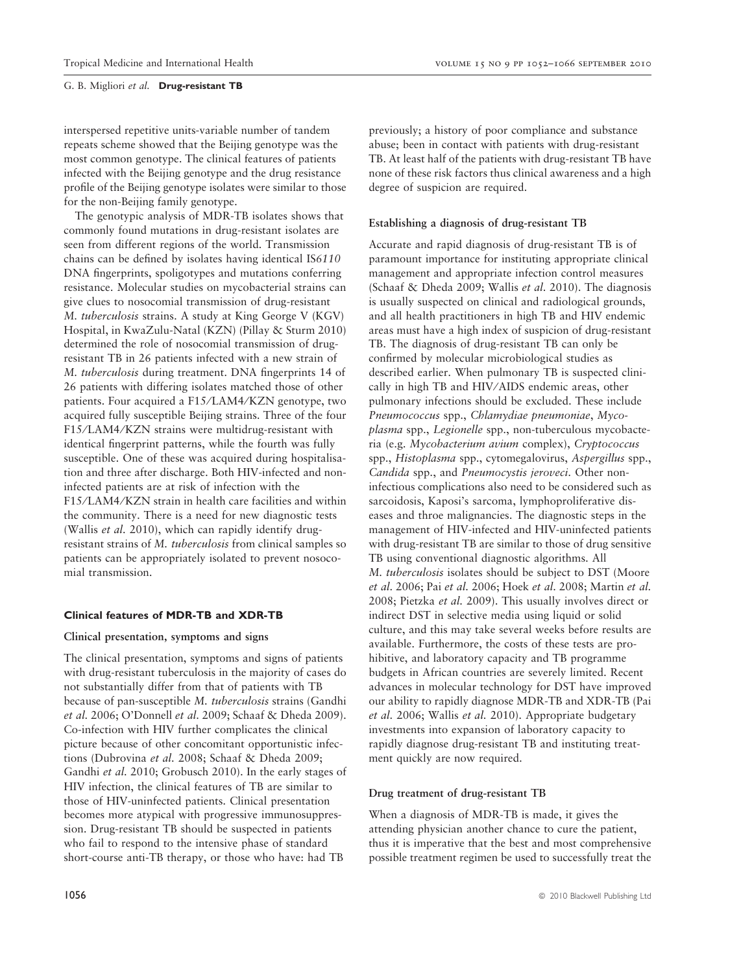interspersed repetitive units-variable number of tandem repeats scheme showed that the Beijing genotype was the most common genotype. The clinical features of patients infected with the Beijing genotype and the drug resistance profile of the Beijing genotype isolates were similar to those for the non-Beijing family genotype.

The genotypic analysis of MDR-TB isolates shows that commonly found mutations in drug-resistant isolates are seen from different regions of the world. Transmission chains can be defined by isolates having identical IS6110 DNA fingerprints, spoligotypes and mutations conferring resistance. Molecular studies on mycobacterial strains can give clues to nosocomial transmission of drug-resistant M. tuberculosis strains. A study at King George V (KGV) Hospital, in KwaZulu-Natal (KZN) (Pillay & Sturm 2010) determined the role of nosocomial transmission of drugresistant TB in 26 patients infected with a new strain of M. tuberculosis during treatment. DNA fingerprints 14 of 26 patients with differing isolates matched those of other patients. Four acquired a F15/LAM4/KZN genotype, two acquired fully susceptible Beijing strains. Three of the four F15/LAM4/KZN strains were multidrug-resistant with identical fingerprint patterns, while the fourth was fully susceptible. One of these was acquired during hospitalisation and three after discharge. Both HIV-infected and noninfected patients are at risk of infection with the F15/LAM4/KZN strain in health care facilities and within the community. There is a need for new diagnostic tests (Wallis et al. 2010), which can rapidly identify drugresistant strains of M. tuberculosis from clinical samples so patients can be appropriately isolated to prevent nosocomial transmission.

### Clinical features of MDR-TB and XDR-TB

# Clinical presentation, symptoms and signs

The clinical presentation, symptoms and signs of patients with drug-resistant tuberculosis in the majority of cases do not substantially differ from that of patients with TB because of pan-susceptible M. tuberculosis strains (Gandhi et al. 2006; O'Donnell et al. 2009; Schaaf & Dheda 2009). Co-infection with HIV further complicates the clinical picture because of other concomitant opportunistic infections (Dubrovina et al. 2008; Schaaf & Dheda 2009; Gandhi et al. 2010; Grobusch 2010). In the early stages of HIV infection, the clinical features of TB are similar to those of HIV-uninfected patients. Clinical presentation becomes more atypical with progressive immunosuppression. Drug-resistant TB should be suspected in patients who fail to respond to the intensive phase of standard short-course anti-TB therapy, or those who have: had TB

previously; a history of poor compliance and substance abuse; been in contact with patients with drug-resistant TB. At least half of the patients with drug-resistant TB have none of these risk factors thus clinical awareness and a high degree of suspicion are required.

#### Establishing a diagnosis of drug-resistant TB

Accurate and rapid diagnosis of drug-resistant TB is of paramount importance for instituting appropriate clinical management and appropriate infection control measures (Schaaf & Dheda 2009; Wallis et al. 2010). The diagnosis is usually suspected on clinical and radiological grounds, and all health practitioners in high TB and HIV endemic areas must have a high index of suspicion of drug-resistant TB. The diagnosis of drug-resistant TB can only be confirmed by molecular microbiological studies as described earlier. When pulmonary TB is suspected clinically in high TB and HIV/AIDS endemic areas, other pulmonary infections should be excluded. These include Pneumococcus spp., Chlamydiae pneumoniae, Mycoplasma spp., Legionelle spp., non-tuberculous mycobacteria (e.g. Mycobacterium avium complex), Cryptococcus spp., Histoplasma spp., cytomegalovirus, Aspergillus spp., Candida spp., and Pneumocystis jeroveci. Other noninfectious complications also need to be considered such as sarcoidosis, Kaposi's sarcoma, lymphoproliferative diseases and throe malignancies. The diagnostic steps in the management of HIV-infected and HIV-uninfected patients with drug-resistant TB are similar to those of drug sensitive TB using conventional diagnostic algorithms. All M. tuberculosis isolates should be subject to DST (Moore et al. 2006; Pai et al. 2006; Hoek et al. 2008; Martin et al. 2008; Pietzka et al. 2009). This usually involves direct or indirect DST in selective media using liquid or solid culture, and this may take several weeks before results are available. Furthermore, the costs of these tests are prohibitive, and laboratory capacity and TB programme budgets in African countries are severely limited. Recent advances in molecular technology for DST have improved our ability to rapidly diagnose MDR-TB and XDR-TB (Pai et al. 2006; Wallis et al. 2010). Appropriate budgetary investments into expansion of laboratory capacity to rapidly diagnose drug-resistant TB and instituting treatment quickly are now required.

#### Drug treatment of drug-resistant TB

When a diagnosis of MDR-TB is made, it gives the attending physician another chance to cure the patient, thus it is imperative that the best and most comprehensive possible treatment regimen be used to successfully treat the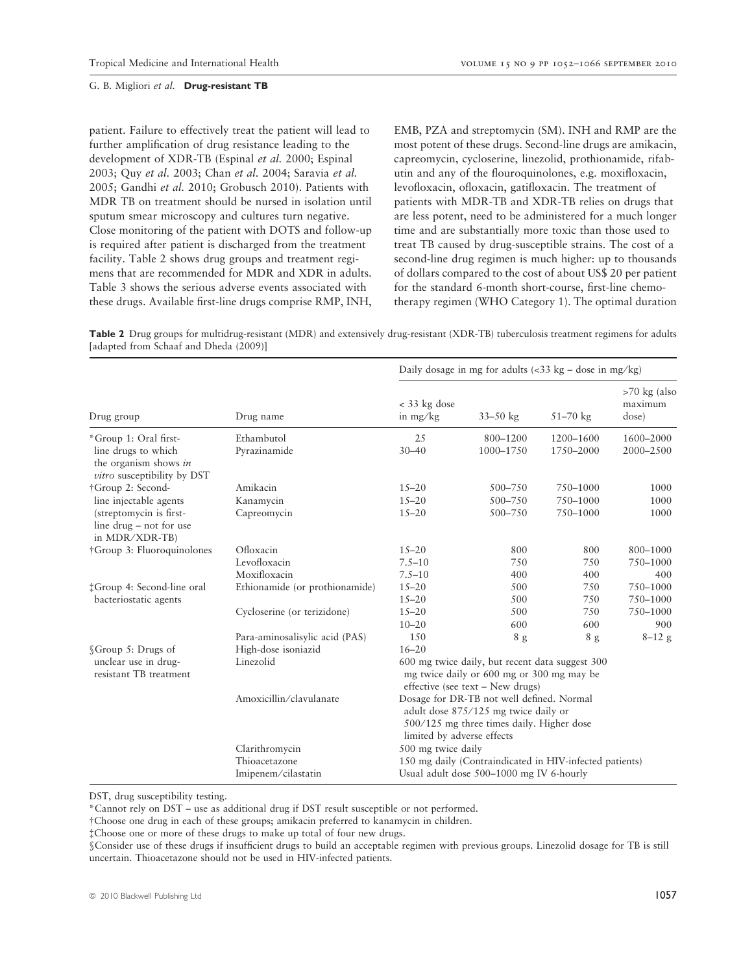patient. Failure to effectively treat the patient will lead to further amplification of drug resistance leading to the development of XDR-TB (Espinal et al. 2000; Espinal 2003; Quy et al. 2003; Chan et al. 2004; Saravia et al. 2005; Gandhi et al. 2010; Grobusch 2010). Patients with MDR TB on treatment should be nursed in isolation until sputum smear microscopy and cultures turn negative. Close monitoring of the patient with DOTS and follow-up is required after patient is discharged from the treatment facility. Table 2 shows drug groups and treatment regimens that are recommended for MDR and XDR in adults. Table 3 shows the serious adverse events associated with these drugs. Available first-line drugs comprise RMP, INH, EMB, PZA and streptomycin (SM). INH and RMP are the most potent of these drugs. Second-line drugs are amikacin, capreomycin, cycloserine, linezolid, prothionamide, rifabutin and any of the flouroquinolones, e.g. moxifloxacin, levofloxacin, ofloxacin, gatifloxacin. The treatment of patients with MDR-TB and XDR-TB relies on drugs that are less potent, need to be administered for a much longer time and are substantially more toxic than those used to treat TB caused by drug-susceptible strains. The cost of a second-line drug regimen is much higher: up to thousands of dollars compared to the cost of about US\$ 20 per patient for the standard 6-month short-course, first-line chemotherapy regimen (WHO Category 1). The optimal duration

Table 2 Drug groups for multidrug-resistant (MDR) and extensively drug-resistant (XDR-TB) tuberculosis treatment regimens for adults [adapted from Schaaf and Dheda (2009)]

|                                                                                    | Drug name                      | Daily dosage in mg for adults $\langle$ <33 kg – dose in mg/kg)                                                                                              |              |              |                                    |  |
|------------------------------------------------------------------------------------|--------------------------------|--------------------------------------------------------------------------------------------------------------------------------------------------------------|--------------|--------------|------------------------------------|--|
| Drug group                                                                         |                                | $<$ 33 kg dose<br>in $mg/kg$                                                                                                                                 | $33 - 50$ kg | $51 - 70$ kg | $>70$ kg (also<br>maximum<br>dose) |  |
| *Group 1: Oral first-                                                              | Ethambutol                     | 25                                                                                                                                                           | 800-1200     | 1200-1600    | 1600-2000                          |  |
| line drugs to which<br>the organism shows in<br><i>vitro</i> susceptibility by DST | Pyrazinamide                   | $30 - 40$                                                                                                                                                    | 1000-1750    | 1750-2000    | 2000-2500                          |  |
| †Group 2: Second-                                                                  | Amikacin                       | $15 - 20$                                                                                                                                                    | 500-750      | 750-1000     | 1000                               |  |
| line injectable agents                                                             | Kanamycin                      | $15 - 20$                                                                                                                                                    | 500-750      | 750-1000     | 1000                               |  |
| (streptomycin is first-<br>line drug – not for use<br>in MDR/XDR-TB)               | Capreomycin                    | $15 - 20$                                                                                                                                                    | 500-750      | 750-1000     | 1000                               |  |
| †Group 3: Fluoroquinolones                                                         | Ofloxacin                      | $15 - 20$                                                                                                                                                    | 800          | 800          | 800-1000                           |  |
|                                                                                    | Levofloxacin                   | $7.5 - 10$                                                                                                                                                   | 750          | 750          | 750-1000                           |  |
|                                                                                    | Moxifloxacin                   | $7.5 - 10$                                                                                                                                                   | 400          | 400          | 400                                |  |
| ‡Group 4: Second-line oral<br>bacteriostatic agents                                | Ethionamide (or prothionamide) | $15 - 20$                                                                                                                                                    | 500          | 750          | 750-1000                           |  |
|                                                                                    |                                | $15 - 20$                                                                                                                                                    | 500          | 750          | 750-1000                           |  |
|                                                                                    | Cycloserine (or terizidone)    | $15 - 20$                                                                                                                                                    | 500          | 750          | 750-1000                           |  |
|                                                                                    |                                | $10 - 20$                                                                                                                                                    | 600          | 600          | 900                                |  |
|                                                                                    | Para-aminosalisylic acid (PAS) | 150                                                                                                                                                          | 8 g          | 8 g          | $8-12$ g                           |  |
| SGroup 5: Drugs of                                                                 | High-dose isoniazid            | $16 - 20$                                                                                                                                                    |              |              |                                    |  |
| unclear use in drug-<br>resistant TB treatment                                     | Linezolid                      | 600 mg twice daily, but recent data suggest 300<br>mg twice daily or 600 mg or 300 mg may be<br>effective (see text - New drugs)                             |              |              |                                    |  |
|                                                                                    | Amoxicillin/clavulanate        | Dosage for DR-TB not well defined. Normal<br>adult dose 875/125 mg twice daily or<br>500/125 mg three times daily. Higher dose<br>limited by adverse effects |              |              |                                    |  |
|                                                                                    | Clarithromycin                 | 500 mg twice daily                                                                                                                                           |              |              |                                    |  |
|                                                                                    | Thioacetazone                  | 150 mg daily (Contraindicated in HIV-infected patients)                                                                                                      |              |              |                                    |  |
|                                                                                    | Imipenem/cilastatin            | Usual adult dose 500–1000 mg IV 6-hourly                                                                                                                     |              |              |                                    |  |

DST, drug susceptibility testing.

\*Cannot rely on DST – use as additional drug if DST result susceptible or not performed.

-Choose one drug in each of these groups; amikacin preferred to kanamycin in children.

Choose one or more of these drugs to make up total of four new drugs.

§Consider use of these drugs if insufficient drugs to build an acceptable regimen with previous groups. Linezolid dosage for TB is still uncertain. Thioacetazone should not be used in HIV-infected patients.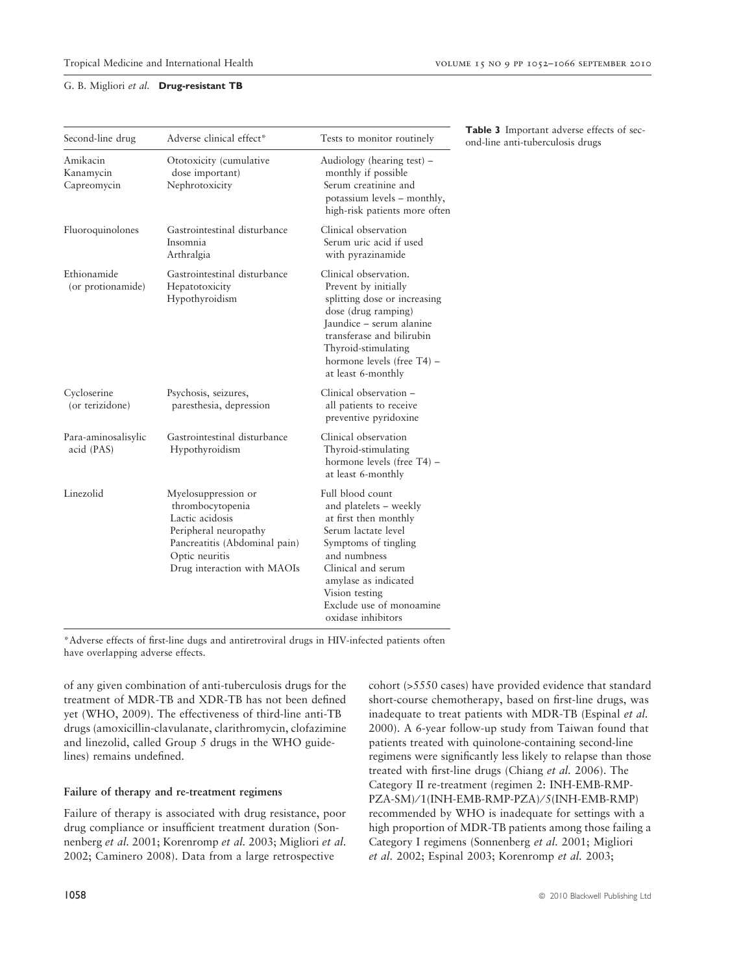| Second-line drug                     | Adverse clinical effect*<br>Tests to monitor routinely                                                                                                                |                                                                                                                                                                                                                                                      |  |
|--------------------------------------|-----------------------------------------------------------------------------------------------------------------------------------------------------------------------|------------------------------------------------------------------------------------------------------------------------------------------------------------------------------------------------------------------------------------------------------|--|
| Amikacin<br>Kanamycin<br>Capreomycin | Ototoxicity (cumulative<br>dose important)<br>Nephrotoxicity                                                                                                          | Audiology (hearing test) –<br>monthly if possible<br>Serum creatinine and<br>potassium levels - monthly,<br>high-risk patients more often                                                                                                            |  |
| Fluoroquinolones                     | Gastrointestinal disturbance<br>Insomnia<br>Arthralgia                                                                                                                | Clinical observation<br>Serum uric acid if used<br>with pyrazinamide                                                                                                                                                                                 |  |
| Ethionamide<br>(or protionamide)     | Gastrointestinal disturbance<br>Hepatotoxicity<br>Hypothyroidism                                                                                                      | Clinical observation.<br>Prevent by initially<br>splitting dose or increasing<br>dose (drug ramping)<br>Jaundice – serum alanine<br>transferase and bilirubin<br>Thyroid-stimulating<br>hormone levels (free T4) -<br>at least 6-monthly             |  |
| Cycloserine<br>(or terizidone)       | Psychosis, seizures,<br>paresthesia, depression                                                                                                                       | Clinical observation -<br>all patients to receive<br>preventive pyridoxine                                                                                                                                                                           |  |
| Para-aminosalisylic<br>acid (PAS)    | Gastrointestinal disturbance<br>Hypothyroidism                                                                                                                        | Clinical observation<br>Thyroid-stimulating<br>hormone levels (free T4) -<br>at least 6-monthly                                                                                                                                                      |  |
| Linezolid                            | Myelosuppression or<br>thrombocytopenia<br>Lactic acidosis<br>Peripheral neuropathy<br>Pancreatitis (Abdominal pain)<br>Optic neuritis<br>Drug interaction with MAOIs | Full blood count<br>and platelets - weekly<br>at first then monthly<br>Serum lactate level<br>Symptoms of tingling<br>and numbness<br>Clinical and serum<br>amylase as indicated<br>Vision testing<br>Exclude use of monoamine<br>oxidase inhibitors |  |

Table 3 Important adverse effects of second-line anti-tuberculosis drugs

\*Adverse effects of first-line dugs and antiretroviral drugs in HIV-infected patients often have overlapping adverse effects.

of any given combination of anti-tuberculosis drugs for the treatment of MDR-TB and XDR-TB has not been defined yet (WHO, 2009). The effectiveness of third-line anti-TB drugs (amoxicillin-clavulanate, clarithromycin, clofazimine and linezolid, called Group 5 drugs in the WHO guidelines) remains undefined.

# Failure of therapy and re-treatment regimens

Failure of therapy is associated with drug resistance, poor drug compliance or insufficient treatment duration (Sonnenberg et al. 2001; Korenromp et al. 2003; Migliori et al. 2002; Caminero 2008). Data from a large retrospective

cohort (>5550 cases) have provided evidence that standard short-course chemotherapy, based on first-line drugs, was inadequate to treat patients with MDR-TB (Espinal et al. 2000). A 6-year follow-up study from Taiwan found that patients treated with quinolone-containing second-line regimens were significantly less likely to relapse than those treated with first-line drugs (Chiang et al. 2006). The Category II re-treatment (regimen 2: INH-EMB-RMP-PZA-SM)⁄ 1(INH-EMB-RMP-PZA)⁄ 5(INH-EMB-RMP) recommended by WHO is inadequate for settings with a high proportion of MDR-TB patients among those failing a Category I regimens (Sonnenberg et al. 2001; Migliori et al. 2002; Espinal 2003; Korenromp et al. 2003;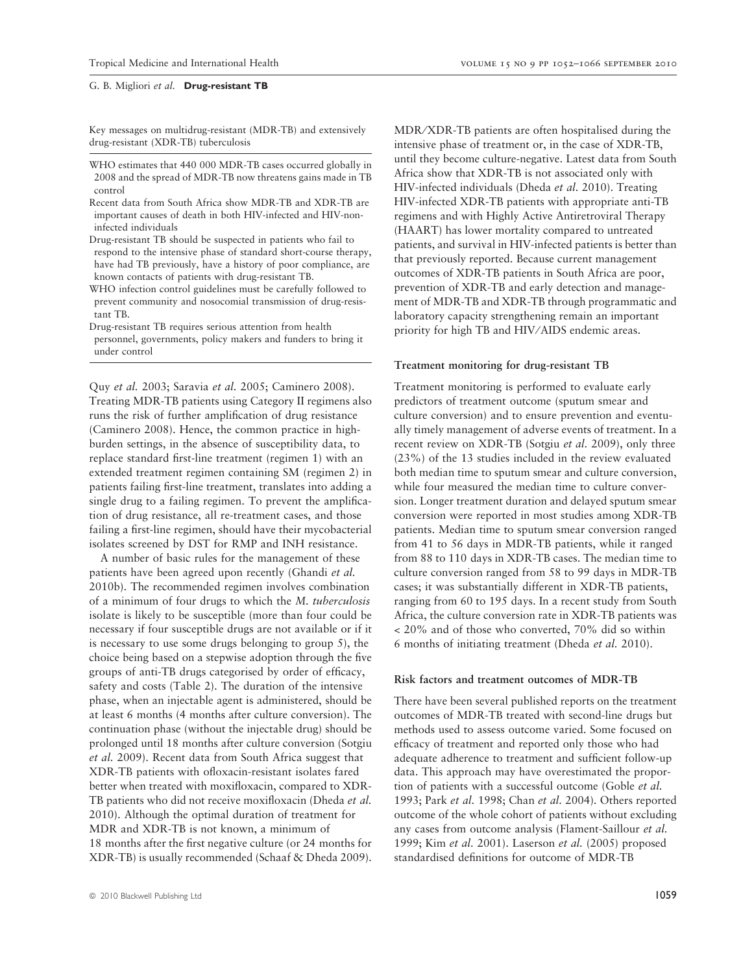Key messages on multidrug-resistant (MDR-TB) and extensively drug-resistant (XDR-TB) tuberculosis

- WHO estimates that 440 000 MDR-TB cases occurred globally in 2008 and the spread of MDR-TB now threatens gains made in TB control
- Recent data from South Africa show MDR-TB and XDR-TB are important causes of death in both HIV-infected and HIV-noninfected individuals
- Drug-resistant TB should be suspected in patients who fail to respond to the intensive phase of standard short-course therapy, have had TB previously, have a history of poor compliance, are known contacts of patients with drug-resistant TB.
- WHO infection control guidelines must be carefully followed to prevent community and nosocomial transmission of drug-resistant TB.
- Drug-resistant TB requires serious attention from health personnel, governments, policy makers and funders to bring it under control

Quy et al. 2003; Saravia et al. 2005; Caminero 2008). Treating MDR-TB patients using Category II regimens also runs the risk of further amplification of drug resistance (Caminero 2008). Hence, the common practice in highburden settings, in the absence of susceptibility data, to replace standard first-line treatment (regimen 1) with an extended treatment regimen containing SM (regimen 2) in patients failing first-line treatment, translates into adding a single drug to a failing regimen. To prevent the amplification of drug resistance, all re-treatment cases, and those failing a first-line regimen, should have their mycobacterial isolates screened by DST for RMP and INH resistance.

A number of basic rules for the management of these patients have been agreed upon recently (Ghandi et al. 2010b). The recommended regimen involves combination of a minimum of four drugs to which the M. tuberculosis isolate is likely to be susceptible (more than four could be necessary if four susceptible drugs are not available or if it is necessary to use some drugs belonging to group 5), the choice being based on a stepwise adoption through the five groups of anti-TB drugs categorised by order of efficacy, safety and costs (Table 2). The duration of the intensive phase, when an injectable agent is administered, should be at least 6 months (4 months after culture conversion). The continuation phase (without the injectable drug) should be prolonged until 18 months after culture conversion (Sotgiu et al. 2009). Recent data from South Africa suggest that XDR-TB patients with ofloxacin-resistant isolates fared better when treated with moxifloxacin, compared to XDR-TB patients who did not receive moxifloxacin (Dheda et al. 2010). Although the optimal duration of treatment for MDR and XDR-TB is not known, a minimum of 18 months after the first negative culture (or 24 months for XDR-TB) is usually recommended (Schaaf & Dheda 2009).

MDR/XDR-TB patients are often hospitalised during the intensive phase of treatment or, in the case of XDR-TB, until they become culture-negative. Latest data from South Africa show that XDR-TB is not associated only with HIV-infected individuals (Dheda et al. 2010). Treating HIV-infected XDR-TB patients with appropriate anti-TB regimens and with Highly Active Antiretroviral Therapy (HAART) has lower mortality compared to untreated patients, and survival in HIV-infected patients is better than that previously reported. Because current management outcomes of XDR-TB patients in South Africa are poor, prevention of XDR-TB and early detection and management of MDR-TB and XDR-TB through programmatic and laboratory capacity strengthening remain an important priority for high TB and HIV/AIDS endemic areas.

#### Treatment monitoring for drug-resistant TB

Treatment monitoring is performed to evaluate early predictors of treatment outcome (sputum smear and culture conversion) and to ensure prevention and eventually timely management of adverse events of treatment. In a recent review on XDR-TB (Sotgiu *et al.* 2009), only three (23%) of the 13 studies included in the review evaluated both median time to sputum smear and culture conversion, while four measured the median time to culture conversion. Longer treatment duration and delayed sputum smear conversion were reported in most studies among XDR-TB patients. Median time to sputum smear conversion ranged from 41 to 56 days in MDR-TB patients, while it ranged from 88 to 110 days in XDR-TB cases. The median time to culture conversion ranged from 58 to 99 days in MDR-TB cases; it was substantially different in XDR-TB patients, ranging from 60 to 195 days. In a recent study from South Africa, the culture conversion rate in XDR-TB patients was < 20% and of those who converted, 70% did so within 6 months of initiating treatment (Dheda et al. 2010).

# Risk factors and treatment outcomes of MDR-TB

There have been several published reports on the treatment outcomes of MDR-TB treated with second-line drugs but methods used to assess outcome varied. Some focused on efficacy of treatment and reported only those who had adequate adherence to treatment and sufficient follow-up data. This approach may have overestimated the proportion of patients with a successful outcome (Goble et al. 1993; Park et al. 1998; Chan et al. 2004). Others reported outcome of the whole cohort of patients without excluding any cases from outcome analysis (Flament-Saillour et al. 1999; Kim et al. 2001). Laserson et al. (2005) proposed standardised definitions for outcome of MDR-TB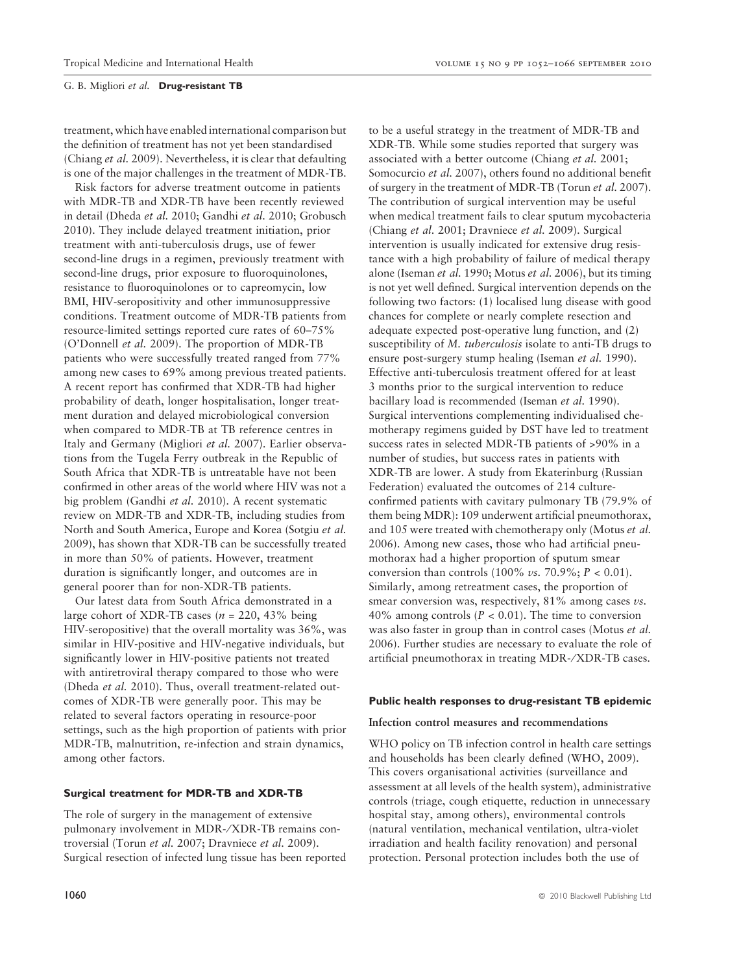treatment, which have enabled international comparison but the definition of treatment has not yet been standardised (Chiang et al. 2009). Nevertheless, it is clear that defaulting is one of the major challenges in the treatment of MDR-TB.

Risk factors for adverse treatment outcome in patients with MDR-TB and XDR-TB have been recently reviewed in detail (Dheda et al. 2010; Gandhi et al. 2010; Grobusch 2010). They include delayed treatment initiation, prior treatment with anti-tuberculosis drugs, use of fewer second-line drugs in a regimen, previously treatment with second-line drugs, prior exposure to fluoroquinolones, resistance to fluoroquinolones or to capreomycin, low BMI, HIV-seropositivity and other immunosuppressive conditions. Treatment outcome of MDR-TB patients from resource-limited settings reported cure rates of 60–75% (O'Donnell et al. 2009). The proportion of MDR-TB patients who were successfully treated ranged from 77% among new cases to 69% among previous treated patients. A recent report has confirmed that XDR-TB had higher probability of death, longer hospitalisation, longer treatment duration and delayed microbiological conversion when compared to MDR-TB at TB reference centres in Italy and Germany (Migliori et al. 2007). Earlier observations from the Tugela Ferry outbreak in the Republic of South Africa that XDR-TB is untreatable have not been confirmed in other areas of the world where HIV was not a big problem (Gandhi et al. 2010). A recent systematic review on MDR-TB and XDR-TB, including studies from North and South America, Europe and Korea (Sotgiu et al. 2009), has shown that XDR-TB can be successfully treated in more than 50% of patients. However, treatment duration is significantly longer, and outcomes are in general poorer than for non-XDR-TB patients.

Our latest data from South Africa demonstrated in a large cohort of XDR-TB cases ( $n = 220, 43\%$  being HIV-seropositive) that the overall mortality was 36%, was similar in HIV-positive and HIV-negative individuals, but significantly lower in HIV-positive patients not treated with antiretroviral therapy compared to those who were (Dheda et al. 2010). Thus, overall treatment-related outcomes of XDR-TB were generally poor. This may be related to several factors operating in resource-poor settings, such as the high proportion of patients with prior MDR-TB, malnutrition, re-infection and strain dynamics, among other factors.

# Surgical treatment for MDR-TB and XDR-TB

The role of surgery in the management of extensive pulmonary involvement in MDR-⁄ XDR-TB remains controversial (Torun et al. 2007; Dravniece et al. 2009). Surgical resection of infected lung tissue has been reported

to be a useful strategy in the treatment of MDR-TB and XDR-TB. While some studies reported that surgery was associated with a better outcome (Chiang et al. 2001; Somocurcio et al. 2007), others found no additional benefit of surgery in the treatment of MDR-TB (Torun et al. 2007). The contribution of surgical intervention may be useful when medical treatment fails to clear sputum mycobacteria (Chiang et al. 2001; Dravniece et al. 2009). Surgical intervention is usually indicated for extensive drug resistance with a high probability of failure of medical therapy alone (Iseman et al. 1990; Motus et al. 2006), but its timing is not yet well defined. Surgical intervention depends on the following two factors: (1) localised lung disease with good chances for complete or nearly complete resection and adequate expected post-operative lung function, and (2) susceptibility of M. tuberculosis isolate to anti-TB drugs to ensure post-surgery stump healing (Iseman et al. 1990). Effective anti-tuberculosis treatment offered for at least 3 months prior to the surgical intervention to reduce bacillary load is recommended (Iseman et al. 1990). Surgical interventions complementing individualised chemotherapy regimens guided by DST have led to treatment success rates in selected MDR-TB patients of >90% in a number of studies, but success rates in patients with XDR-TB are lower. A study from Ekaterinburg (Russian Federation) evaluated the outcomes of 214 cultureconfirmed patients with cavitary pulmonary TB (79.9% of them being MDR): 109 underwent artificial pneumothorax, and 105 were treated with chemotherapy only (Motus et al. 2006). Among new cases, those who had artificial pneumothorax had a higher proportion of sputum smear conversion than controls (100% *vs.* 70.9%;  $P < 0.01$ ). Similarly, among retreatment cases, the proportion of smear conversion was, respectively,  $81\%$  among cases vs. 40% among controls ( $P < 0.01$ ). The time to conversion was also faster in group than in control cases (Motus et al. 2006). Further studies are necessary to evaluate the role of artificial pneumothorax in treating MDR-⁄ XDR-TB cases.

## Public health responses to drug-resistant TB epidemic

# Infection control measures and recommendations

WHO policy on TB infection control in health care settings and households has been clearly defined (WHO, 2009). This covers organisational activities (surveillance and assessment at all levels of the health system), administrative controls (triage, cough etiquette, reduction in unnecessary hospital stay, among others), environmental controls (natural ventilation, mechanical ventilation, ultra-violet irradiation and health facility renovation) and personal protection. Personal protection includes both the use of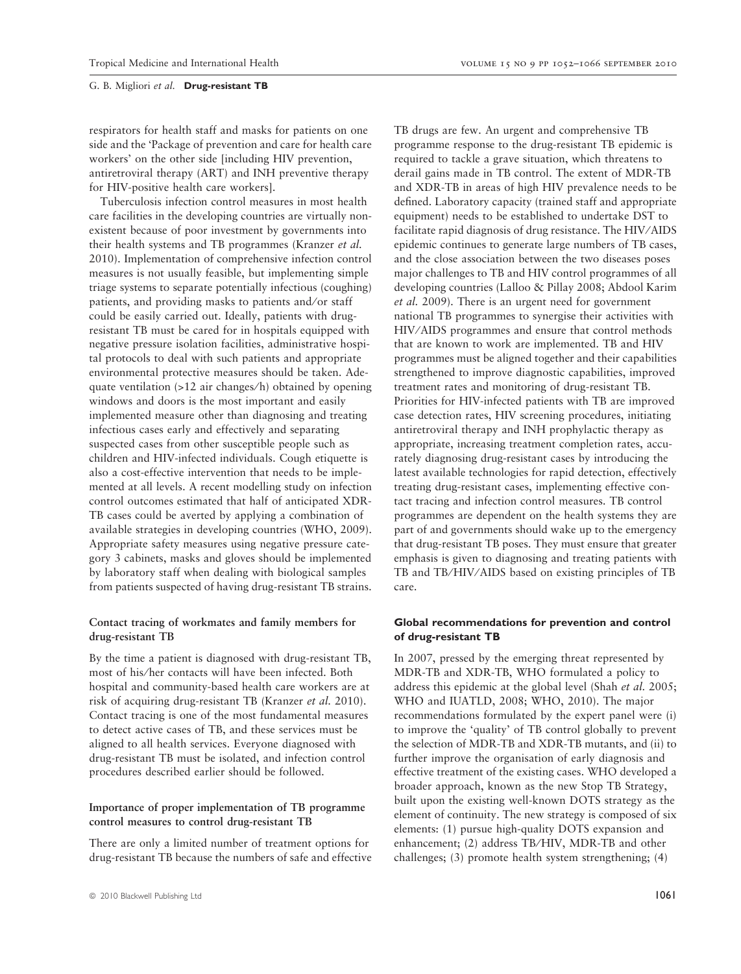respirators for health staff and masks for patients on one side and the 'Package of prevention and care for health care workers' on the other side [including HIV prevention, antiretroviral therapy (ART) and INH preventive therapy for HIV-positive health care workers].

Tuberculosis infection control measures in most health care facilities in the developing countries are virtually nonexistent because of poor investment by governments into their health systems and TB programmes (Kranzer et al. 2010). Implementation of comprehensive infection control measures is not usually feasible, but implementing simple triage systems to separate potentially infectious (coughing) patients, and providing masks to patients and/or staff could be easily carried out. Ideally, patients with drugresistant TB must be cared for in hospitals equipped with negative pressure isolation facilities, administrative hospital protocols to deal with such patients and appropriate environmental protective measures should be taken. Adequate ventilation (>12 air changes⁄ h) obtained by opening windows and doors is the most important and easily implemented measure other than diagnosing and treating infectious cases early and effectively and separating suspected cases from other susceptible people such as children and HIV-infected individuals. Cough etiquette is also a cost-effective intervention that needs to be implemented at all levels. A recent modelling study on infection control outcomes estimated that half of anticipated XDR-TB cases could be averted by applying a combination of available strategies in developing countries (WHO, 2009). Appropriate safety measures using negative pressure category 3 cabinets, masks and gloves should be implemented by laboratory staff when dealing with biological samples from patients suspected of having drug-resistant TB strains.

# Contact tracing of workmates and family members for drug-resistant TB

By the time a patient is diagnosed with drug-resistant TB, most of his⁄ her contacts will have been infected. Both hospital and community-based health care workers are at risk of acquiring drug-resistant TB (Kranzer et al. 2010). Contact tracing is one of the most fundamental measures to detect active cases of TB, and these services must be aligned to all health services. Everyone diagnosed with drug-resistant TB must be isolated, and infection control procedures described earlier should be followed.

# Importance of proper implementation of TB programme control measures to control drug-resistant TB

There are only a limited number of treatment options for drug-resistant TB because the numbers of safe and effective TB drugs are few. An urgent and comprehensive TB programme response to the drug-resistant TB epidemic is required to tackle a grave situation, which threatens to derail gains made in TB control. The extent of MDR-TB and XDR-TB in areas of high HIV prevalence needs to be defined. Laboratory capacity (trained staff and appropriate equipment) needs to be established to undertake DST to facilitate rapid diagnosis of drug resistance. The HIV/AIDS epidemic continues to generate large numbers of TB cases, and the close association between the two diseases poses major challenges to TB and HIV control programmes of all developing countries (Lalloo & Pillay 2008; Abdool Karim et al. 2009). There is an urgent need for government national TB programmes to synergise their activities with HIV/AIDS programmes and ensure that control methods that are known to work are implemented. TB and HIV programmes must be aligned together and their capabilities strengthened to improve diagnostic capabilities, improved treatment rates and monitoring of drug-resistant TB. Priorities for HIV-infected patients with TB are improved case detection rates, HIV screening procedures, initiating antiretroviral therapy and INH prophylactic therapy as appropriate, increasing treatment completion rates, accurately diagnosing drug-resistant cases by introducing the latest available technologies for rapid detection, effectively treating drug-resistant cases, implementing effective contact tracing and infection control measures. TB control programmes are dependent on the health systems they are part of and governments should wake up to the emergency that drug-resistant TB poses. They must ensure that greater emphasis is given to diagnosing and treating patients with TB and TB/HIV/AIDS based on existing principles of TB care.

# Global recommendations for prevention and control of drug-resistant TB

In 2007, pressed by the emerging threat represented by MDR-TB and XDR-TB, WHO formulated a policy to address this epidemic at the global level (Shah et al. 2005; WHO and IUATLD, 2008; WHO, 2010). The major recommendations formulated by the expert panel were (i) to improve the 'quality' of TB control globally to prevent the selection of MDR-TB and XDR-TB mutants, and (ii) to further improve the organisation of early diagnosis and effective treatment of the existing cases. WHO developed a broader approach, known as the new Stop TB Strategy, built upon the existing well-known DOTS strategy as the element of continuity. The new strategy is composed of six elements: (1) pursue high-quality DOTS expansion and enhancement; (2) address TB/HIV, MDR-TB and other challenges; (3) promote health system strengthening; (4)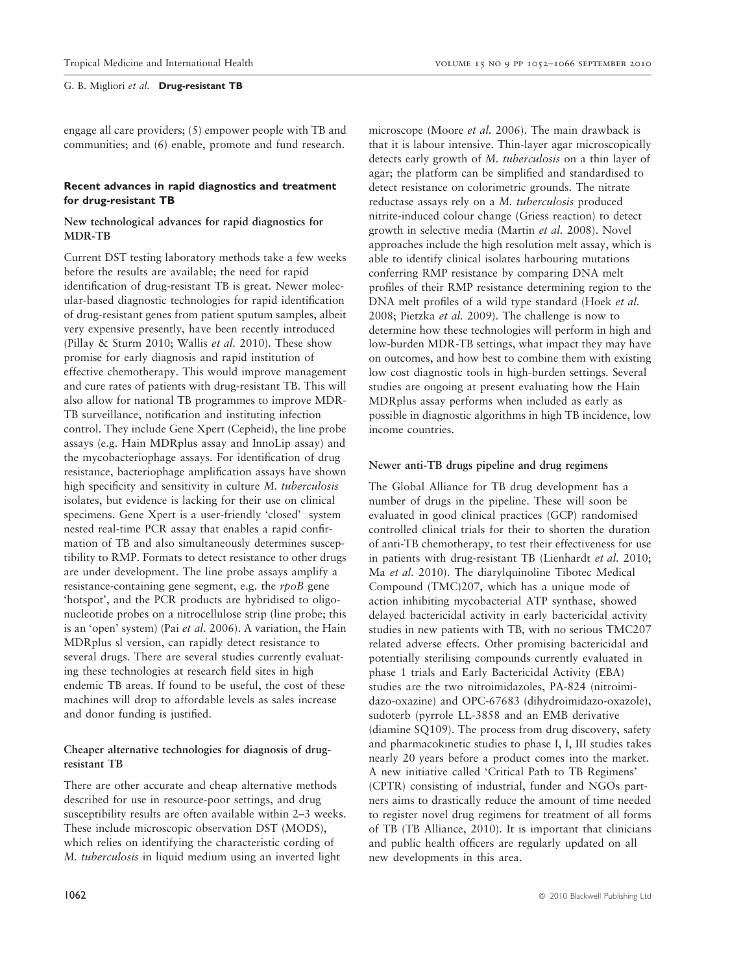engage all care providers; (5) empower people with TB and communities; and (6) enable, promote and fund research.

# Recent advances in rapid diagnostics and treatment for drug-resistant TB

# New technological advances for rapid diagnostics for MDR-TB

Current DST testing laboratory methods take a few weeks before the results are available; the need for rapid identification of drug-resistant TB is great. Newer molecular-based diagnostic technologies for rapid identification of drug-resistant genes from patient sputum samples, albeit very expensive presently, have been recently introduced (Pillay & Sturm 2010; Wallis et al. 2010). These show promise for early diagnosis and rapid institution of effective chemotherapy. This would improve management and cure rates of patients with drug-resistant TB. This will also allow for national TB programmes to improve MDR-TB surveillance, notification and instituting infection control. They include Gene Xpert (Cepheid), the line probe assays (e.g. Hain MDRplus assay and InnoLip assay) and the mycobacteriophage assays. For identification of drug resistance, bacteriophage amplification assays have shown high specificity and sensitivity in culture M. tuberculosis isolates, but evidence is lacking for their use on clinical specimens. Gene Xpert is a user-friendly 'closed' system nested real-time PCR assay that enables a rapid confirmation of TB and also simultaneously determines susceptibility to RMP. Formats to detect resistance to other drugs are under development. The line probe assays amplify a resistance-containing gene segment, e.g. the rpoB gene 'hotspot', and the PCR products are hybridised to oligonucleotide probes on a nitrocellulose strip (line probe; this is an 'open' system) (Pai et al. 2006). A variation, the Hain MDRplus sl version, can rapidly detect resistance to several drugs. There are several studies currently evaluating these technologies at research field sites in high endemic TB areas. If found to be useful, the cost of these machines will drop to affordable levels as sales increase and donor funding is justified.

# Cheaper alternative technologies for diagnosis of drugresistant TB

There are other accurate and cheap alternative methods described for use in resource-poor settings, and drug susceptibility results are often available within 2–3 weeks. These include microscopic observation DST (MODS), which relies on identifying the characteristic cording of M. tuberculosis in liquid medium using an inverted light

microscope (Moore et al. 2006). The main drawback is that it is labour intensive. Thin-layer agar microscopically detects early growth of M. tuberculosis on a thin layer of agar; the platform can be simplified and standardised to detect resistance on colorimetric grounds. The nitrate reductase assays rely on a M. tuberculosis produced nitrite-induced colour change (Griess reaction) to detect growth in selective media (Martin et al. 2008). Novel approaches include the high resolution melt assay, which is able to identify clinical isolates harbouring mutations conferring RMP resistance by comparing DNA melt profiles of their RMP resistance determining region to the DNA melt profiles of a wild type standard (Hoek et al. 2008; Pietzka et al. 2009). The challenge is now to determine how these technologies will perform in high and low-burden MDR-TB settings, what impact they may have on outcomes, and how best to combine them with existing low cost diagnostic tools in high-burden settings. Several studies are ongoing at present evaluating how the Hain MDRplus assay performs when included as early as possible in diagnostic algorithms in high TB incidence, low income countries.

### Newer anti-TB drugs pipeline and drug regimens

The Global Alliance for TB drug development has a number of drugs in the pipeline. These will soon be evaluated in good clinical practices (GCP) randomised controlled clinical trials for their to shorten the duration of anti-TB chemotherapy, to test their effectiveness for use in patients with drug-resistant TB (Lienhardt et al. 2010; Ma et al. 2010). The diarylquinoline Tibotec Medical Compound (TMC)207, which has a unique mode of action inhibiting mycobacterial ATP synthase, showed delayed bactericidal activity in early bactericidal activity studies in new patients with TB, with no serious TMC207 related adverse effects. Other promising bactericidal and potentially sterilising compounds currently evaluated in phase 1 trials and Early Bactericidal Activity (EBA) studies are the two nitroimidazoles, PA-824 (nitroimidazo-oxazine) and OPC-67683 (dihydroimidazo-oxazole), sudoterb (pyrrole LL-3858 and an EMB derivative (diamine SQ109). The process from drug discovery, safety and pharmacokinetic studies to phase I, I, III studies takes nearly 20 years before a product comes into the market. A new initiative called 'Critical Path to TB Regimens' (CPTR) consisting of industrial, funder and NGOs partners aims to drastically reduce the amount of time needed to register novel drug regimens for treatment of all forms of TB (TB Alliance, 2010). It is important that clinicians and public health officers are regularly updated on all new developments in this area.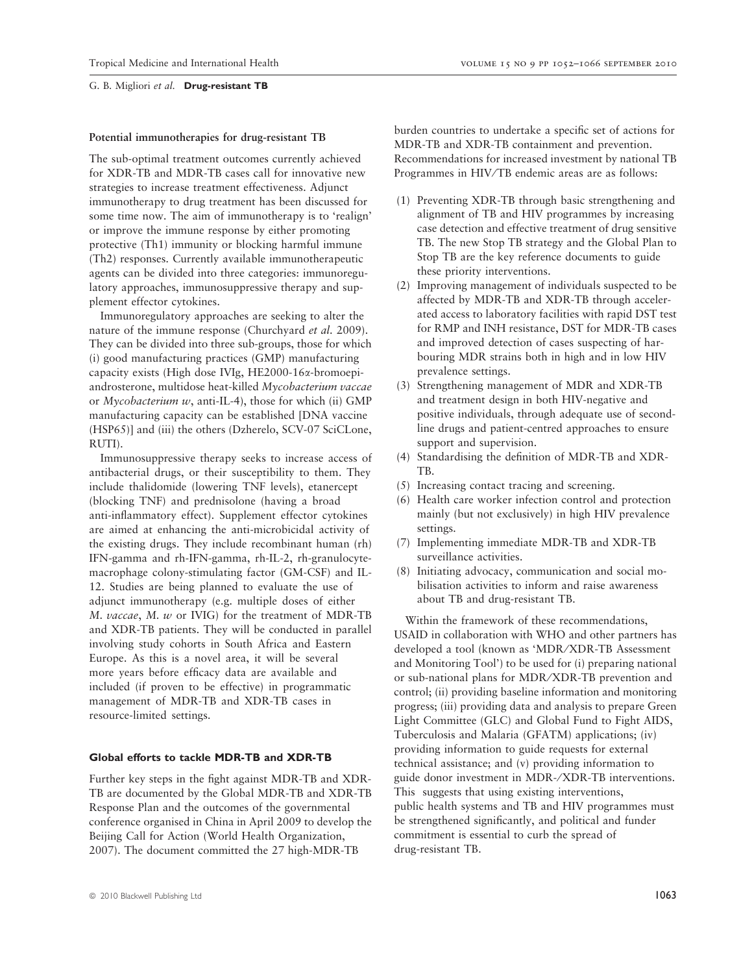## Potential immunotherapies for drug-resistant TB

The sub-optimal treatment outcomes currently achieved for XDR-TB and MDR-TB cases call for innovative new strategies to increase treatment effectiveness. Adjunct immunotherapy to drug treatment has been discussed for some time now. The aim of immunotherapy is to 'realign' or improve the immune response by either promoting protective (Th1) immunity or blocking harmful immune (Th2) responses. Currently available immunotherapeutic agents can be divided into three categories: immunoregulatory approaches, immunosuppressive therapy and supplement effector cytokines.

Immunoregulatory approaches are seeking to alter the nature of the immune response (Churchyard et al. 2009). They can be divided into three sub-groups, those for which (i) good manufacturing practices (GMP) manufacturing capacity exists (High dose IVIg, HE2000-16a-bromoepiandrosterone, multidose heat-killed Mycobacterium vaccae or Mycobacterium  $w$ , anti-IL-4), those for which (ii) GMP manufacturing capacity can be established [DNA vaccine (HSP65)] and (iii) the others (Dzherelo, SCV-07 SciCLone, RUTI).

Immunosuppressive therapy seeks to increase access of antibacterial drugs, or their susceptibility to them. They include thalidomide (lowering TNF levels), etanercept (blocking TNF) and prednisolone (having a broad anti-inflammatory effect). Supplement effector cytokines are aimed at enhancing the anti-microbicidal activity of the existing drugs. They include recombinant human (rh) IFN-gamma and rh-IFN-gamma, rh-IL-2, rh-granulocytemacrophage colony-stimulating factor (GM-CSF) and IL-12. Studies are being planned to evaluate the use of adjunct immunotherapy (e.g. multiple doses of either M. vaccae, M.  $w$  or IVIG) for the treatment of MDR-TB and XDR-TB patients. They will be conducted in parallel involving study cohorts in South Africa and Eastern Europe. As this is a novel area, it will be several more years before efficacy data are available and included (if proven to be effective) in programmatic management of MDR-TB and XDR-TB cases in resource-limited settings.

## Global efforts to tackle MDR-TB and XDR-TB

Further key steps in the fight against MDR-TB and XDR-TB are documented by the Global MDR-TB and XDR-TB Response Plan and the outcomes of the governmental conference organised in China in April 2009 to develop the Beijing Call for Action (World Health Organization, 2007). The document committed the 27 high-MDR-TB

burden countries to undertake a specific set of actions for MDR-TB and XDR-TB containment and prevention. Recommendations for increased investment by national TB Programmes in HIV/TB endemic areas are as follows:

- (1) Preventing XDR-TB through basic strengthening and alignment of TB and HIV programmes by increasing case detection and effective treatment of drug sensitive TB. The new Stop TB strategy and the Global Plan to Stop TB are the key reference documents to guide these priority interventions.
- (2) Improving management of individuals suspected to be affected by MDR-TB and XDR-TB through accelerated access to laboratory facilities with rapid DST test for RMP and INH resistance, DST for MDR-TB cases and improved detection of cases suspecting of harbouring MDR strains both in high and in low HIV prevalence settings.
- (3) Strengthening management of MDR and XDR-TB and treatment design in both HIV-negative and positive individuals, through adequate use of secondline drugs and patient-centred approaches to ensure support and supervision.
- (4) Standardising the definition of MDR-TB and XDR-TB.
- (5) Increasing contact tracing and screening.
- (6) Health care worker infection control and protection mainly (but not exclusively) in high HIV prevalence settings.
- (7) Implementing immediate MDR-TB and XDR-TB surveillance activities.
- (8) Initiating advocacy, communication and social mobilisation activities to inform and raise awareness about TB and drug-resistant TB.

Within the framework of these recommendations, USAID in collaboration with WHO and other partners has developed a tool (known as 'MDR/XDR-TB Assessment and Monitoring Tool') to be used for (i) preparing national or sub-national plans for MDR/XDR-TB prevention and control; (ii) providing baseline information and monitoring progress; (iii) providing data and analysis to prepare Green Light Committee (GLC) and Global Fund to Fight AIDS, Tuberculosis and Malaria (GFATM) applications; (iv) providing information to guide requests for external technical assistance; and (v) providing information to guide donor investment in MDR-⁄ XDR-TB interventions. This suggests that using existing interventions, public health systems and TB and HIV programmes must be strengthened significantly, and political and funder commitment is essential to curb the spread of drug-resistant TB.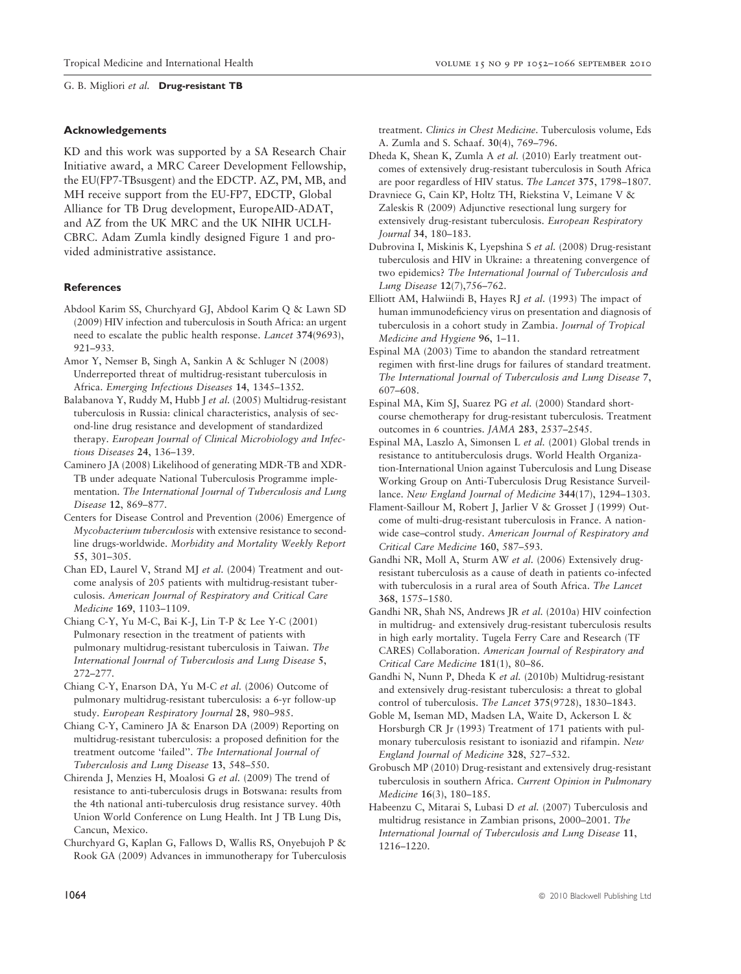#### Acknowledgements

KD and this work was supported by a SA Research Chair Initiative award, a MRC Career Development Fellowship, the EU(FP7-TBsusgent) and the EDCTP. AZ, PM, MB, and MH receive support from the EU-FP7, EDCTP, Global Alliance for TB Drug development, EuropeAID-ADAT, and AZ from the UK MRC and the UK NIHR UCLH-CBRC. Adam Zumla kindly designed Figure 1 and provided administrative assistance.

#### **References**

- Abdool Karim SS, Churchyard GJ, Abdool Karim Q & Lawn SD (2009) HIV infection and tuberculosis in South Africa: an urgent need to escalate the public health response. Lancet 374(9693), 921–933.
- Amor Y, Nemser B, Singh A, Sankin A & Schluger N (2008) Underreported threat of multidrug-resistant tuberculosis in Africa. Emerging Infectious Diseases 14, 1345–1352.
- Balabanova Y, Ruddy M, Hubb J et al. (2005) Multidrug-resistant tuberculosis in Russia: clinical characteristics, analysis of second-line drug resistance and development of standardized therapy. European Journal of Clinical Microbiology and Infectious Diseases 24, 136–139.
- Caminero JA (2008) Likelihood of generating MDR-TB and XDR-TB under adequate National Tuberculosis Programme implementation. The International Journal of Tuberculosis and Lung Disease 12, 869–877.
- Centers for Disease Control and Prevention (2006) Emergence of Mycobacterium tuberculosis with extensive resistance to secondline drugs-worldwide. Morbidity and Mortality Weekly Report 55, 301–305.
- Chan ED, Laurel V, Strand MJ et al. (2004) Treatment and outcome analysis of 205 patients with multidrug-resistant tuberculosis. American Journal of Respiratory and Critical Care Medicine 169, 1103–1109.
- Chiang C-Y, Yu M-C, Bai K-J, Lin T-P & Lee Y-C (2001) Pulmonary resection in the treatment of patients with pulmonary multidrug-resistant tuberculosis in Taiwan. The International Journal of Tuberculosis and Lung Disease 5, 272–277.

Chiang C-Y, Enarson DA, Yu M-C et al. (2006) Outcome of pulmonary multidrug-resistant tuberculosis: a 6-yr follow-up study. European Respiratory Journal 28, 980–985.

Chiang C-Y, Caminero JA & Enarson DA (2009) Reporting on multidrug-resistant tuberculosis: a proposed definition for the treatment outcome 'failed''. The International Journal of Tuberculosis and Lung Disease 13, 548–550.

Chirenda J, Menzies H, Moalosi G et al. (2009) The trend of resistance to anti-tuberculosis drugs in Botswana: results from the 4th national anti-tuberculosis drug resistance survey. 40th Union World Conference on Lung Health. Int J TB Lung Dis, Cancun, Mexico.

Churchyard G, Kaplan G, Fallows D, Wallis RS, Onyebujoh P & Rook GA (2009) Advances in immunotherapy for Tuberculosis treatment. Clinics in Chest Medicine. Tuberculosis volume, Eds A. Zumla and S. Schaaf. 30(4), 769–796.

Dheda K, Shean K, Zumla A et al. (2010) Early treatment outcomes of extensively drug-resistant tuberculosis in South Africa are poor regardless of HIV status. The Lancet 375, 1798–1807.

Dravniece G, Cain KP, Holtz TH, Riekstina V, Leimane V & Zaleskis R (2009) Adjunctive resectional lung surgery for extensively drug-resistant tuberculosis. European Respiratory Journal 34, 180–183.

Dubrovina I, Miskinis K, Lyepshina S et al. (2008) Drug-resistant tuberculosis and HIV in Ukraine: a threatening convergence of two epidemics? The International Journal of Tuberculosis and Lung Disease 12(7),756–762.

Elliott AM, Halwiindi B, Hayes RJ et al. (1993) The impact of human immunodeficiency virus on presentation and diagnosis of tuberculosis in a cohort study in Zambia. Journal of Tropical Medicine and Hygiene 96, 1–11.

Espinal MA (2003) Time to abandon the standard retreatment regimen with first-line drugs for failures of standard treatment. The International Journal of Tuberculosis and Lung Disease 7, 607–608.

Espinal MA, Kim SJ, Suarez PG et al. (2000) Standard shortcourse chemotherapy for drug-resistant tuberculosis. Treatment outcomes in 6 countries. JAMA 283, 2537–2545.

Espinal MA, Laszlo A, Simonsen L et al. (2001) Global trends in resistance to antituberculosis drugs. World Health Organization-International Union against Tuberculosis and Lung Disease Working Group on Anti-Tuberculosis Drug Resistance Surveillance. New England Journal of Medicine 344(17), 1294–1303.

Flament-Saillour M, Robert J, Jarlier V & Grosset J (1999) Outcome of multi-drug-resistant tuberculosis in France. A nationwide case–control study. American Journal of Respiratory and Critical Care Medicine 160, 587–593.

Gandhi NR, Moll A, Sturm AW et al. (2006) Extensively drugresistant tuberculosis as a cause of death in patients co-infected with tuberculosis in a rural area of South Africa. The Lancet 368, 1575–1580.

Gandhi NR, Shah NS, Andrews JR et al. (2010a) HIV coinfection in multidrug- and extensively drug-resistant tuberculosis results in high early mortality. Tugela Ferry Care and Research (TF CARES) Collaboration. American Journal of Respiratory and Critical Care Medicine 181(1), 80–86.

Gandhi N, Nunn P, Dheda K et al. (2010b) Multidrug-resistant and extensively drug-resistant tuberculosis: a threat to global control of tuberculosis. The Lancet 375(9728), 1830–1843.

Goble M, Iseman MD, Madsen LA, Waite D, Ackerson L & Horsburgh CR Jr (1993) Treatment of 171 patients with pulmonary tuberculosis resistant to isoniazid and rifampin. New England Journal of Medicine 328, 527–532.

Grobusch MP (2010) Drug-resistant and extensively drug-resistant tuberculosis in southern Africa. Current Opinion in Pulmonary Medicine 16(3), 180–185.

Habeenzu C, Mitarai S, Lubasi D et al. (2007) Tuberculosis and multidrug resistance in Zambian prisons, 2000–2001. The International Journal of Tuberculosis and Lung Disease 11, 1216–1220.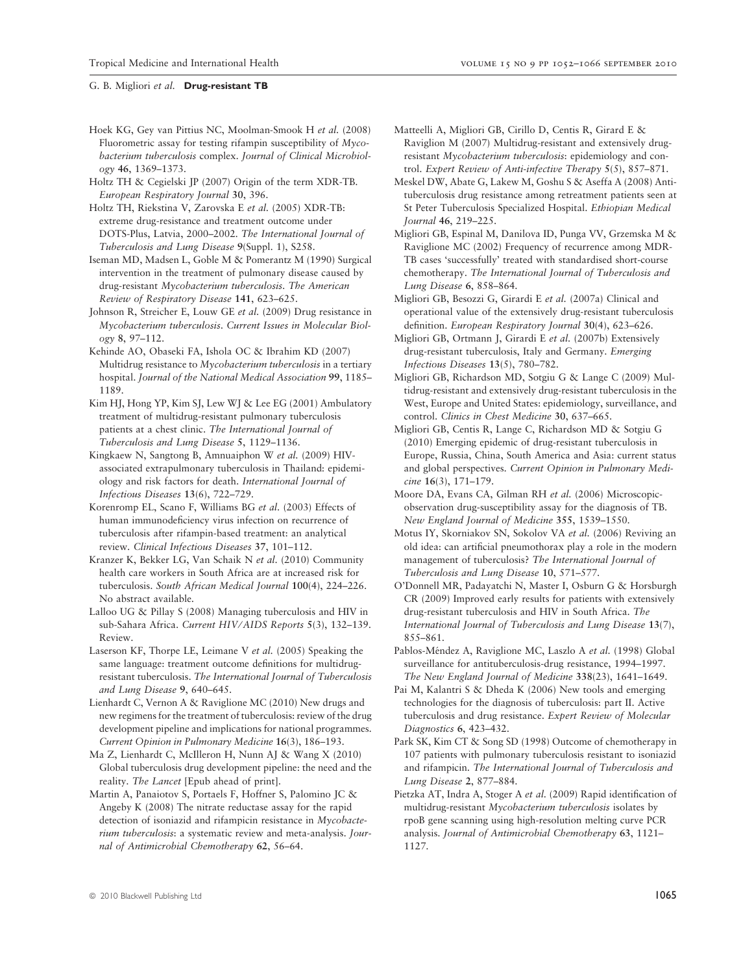- Hoek KG, Gey van Pittius NC, Moolman-Smook H et al. (2008) Fluorometric assay for testing rifampin susceptibility of Mycobacterium tuberculosis complex. Journal of Clinical Microbiology 46, 1369–1373.
- Holtz TH & Cegielski JP (2007) Origin of the term XDR-TB. European Respiratory Journal 30, 396.
- Holtz TH, Riekstina V, Zarovska E et al. (2005) XDR-TB: extreme drug-resistance and treatment outcome under DOTS-Plus, Latvia, 2000–2002. The International Journal of Tuberculosis and Lung Disease 9(Suppl. 1), S258.
- Iseman MD, Madsen L, Goble M & Pomerantz M (1990) Surgical intervention in the treatment of pulmonary disease caused by drug-resistant Mycobacterium tuberculosis. The American Review of Respiratory Disease 141, 623–625.
- Johnson R, Streicher E, Louw GE et al. (2009) Drug resistance in Mycobacterium tuberculosis. Current Issues in Molecular Biology 8, 97–112.
- Kehinde AO, Obaseki FA, Ishola OC & Ibrahim KD (2007) Multidrug resistance to Mycobacterium tuberculosis in a tertiary hospital. Journal of the National Medical Association 99, 1185– 1189.
- Kim HJ, Hong YP, Kim SJ, Lew WJ & Lee EG (2001) Ambulatory treatment of multidrug-resistant pulmonary tuberculosis patients at a chest clinic. The International Journal of Tuberculosis and Lung Disease 5, 1129–1136.
- Kingkaew N, Sangtong B, Amnuaiphon W et al. (2009) HIVassociated extrapulmonary tuberculosis in Thailand: epidemiology and risk factors for death. International Journal of Infectious Diseases 13(6), 722–729.
- Korenromp EL, Scano F, Williams BG et al. (2003) Effects of human immunodeficiency virus infection on recurrence of tuberculosis after rifampin-based treatment: an analytical review. Clinical Infectious Diseases 37, 101–112.
- Kranzer K, Bekker LG, Van Schaik N et al. (2010) Community health care workers in South Africa are at increased risk for tuberculosis. South African Medical Journal 100(4), 224–226. No abstract available.
- Lalloo UG & Pillay S (2008) Managing tuberculosis and HIV in sub-Sahara Africa. Current HIV/AIDS Reports 5(3), 132-139. Review.
- Laserson KF, Thorpe LE, Leimane V et al. (2005) Speaking the same language: treatment outcome definitions for multidrugresistant tuberculosis. The International Journal of Tuberculosis and Lung Disease 9, 640–645.
- Lienhardt C, Vernon A & Raviglione MC (2010) New drugs and new regimens for the treatment of tuberculosis: review of the drug development pipeline and implications for national programmes. Current Opinion in Pulmonary Medicine 16(3), 186–193.
- Ma Z, Lienhardt C, McIlleron H, Nunn AJ & Wang X (2010) Global tuberculosis drug development pipeline: the need and the reality. The Lancet [Epub ahead of print].
- Martin A, Panaiotov S, Portaels F, Hoffner S, Palomino JC & Angeby K (2008) The nitrate reductase assay for the rapid detection of isoniazid and rifampicin resistance in Mycobacterium tuberculosis: a systematic review and meta-analysis. Journal of Antimicrobial Chemotherapy 62, 56–64.
- Matteelli A, Migliori GB, Cirillo D, Centis R, Girard E & Raviglion M (2007) Multidrug-resistant and extensively drugresistant Mycobacterium tuberculosis: epidemiology and control. Expert Review of Anti-infective Therapy 5(5), 857–871.
- Meskel DW, Abate G, Lakew M, Goshu S & Aseffa A (2008) Antituberculosis drug resistance among retreatment patients seen at St Peter Tuberculosis Specialized Hospital. Ethiopian Medical Journal 46, 219–225.
- Migliori GB, Espinal M, Danilova ID, Punga VV, Grzemska M & Raviglione MC (2002) Frequency of recurrence among MDR-TB cases 'successfully' treated with standardised short-course chemotherapy. The International Journal of Tuberculosis and Lung Disease 6, 858–864.
- Migliori GB, Besozzi G, Girardi E et al. (2007a) Clinical and operational value of the extensively drug-resistant tuberculosis definition. European Respiratory Journal 30(4), 623–626.
- Migliori GB, Ortmann J, Girardi E et al. (2007b) Extensively drug-resistant tuberculosis, Italy and Germany. Emerging Infectious Diseases 13(5), 780–782.
- Migliori GB, Richardson MD, Sotgiu G & Lange C (2009) Multidrug-resistant and extensively drug-resistant tuberculosis in the West, Europe and United States: epidemiology, surveillance, and control. Clinics in Chest Medicine 30, 637–665.
- Migliori GB, Centis R, Lange C, Richardson MD & Sotgiu G (2010) Emerging epidemic of drug-resistant tuberculosis in Europe, Russia, China, South America and Asia: current status and global perspectives. Current Opinion in Pulmonary Medicine 16(3), 171–179.
- Moore DA, Evans CA, Gilman RH et al. (2006) Microscopicobservation drug-susceptibility assay for the diagnosis of TB. New England Journal of Medicine 355, 1539–1550.
- Motus IY, Skorniakov SN, Sokolov VA et al. (2006) Reviving an old idea: can artificial pneumothorax play a role in the modern management of tuberculosis? The International Journal of Tuberculosis and Lung Disease 10, 571–577.
- O'Donnell MR, Padayatchi N, Master I, Osburn G & Horsburgh CR (2009) Improved early results for patients with extensively drug-resistant tuberculosis and HIV in South Africa. The International Journal of Tuberculosis and Lung Disease 13(7), 855–861.
- Pablos-Méndez A, Raviglione MC, Laszlo A et al. (1998) Global surveillance for antituberculosis-drug resistance, 1994–1997. The New England Journal of Medicine 338(23), 1641–1649.
- Pai M, Kalantri S & Dheda K (2006) New tools and emerging technologies for the diagnosis of tuberculosis: part II. Active tuberculosis and drug resistance. Expert Review of Molecular Diagnostics 6, 423–432.
- Park SK, Kim CT & Song SD (1998) Outcome of chemotherapy in 107 patients with pulmonary tuberculosis resistant to isoniazid and rifampicin. The International Journal of Tuberculosis and Lung Disease 2, 877–884.
- Pietzka AT, Indra A, Stoger A et al. (2009) Rapid identification of multidrug-resistant Mycobacterium tuberculosis isolates by rpoB gene scanning using high-resolution melting curve PCR analysis. Journal of Antimicrobial Chemotherapy 63, 1121– 1127.